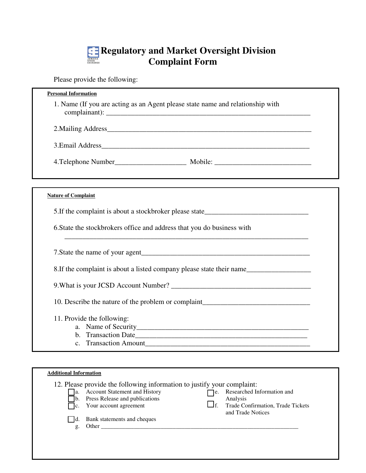## **Regulatory and Market Oversight Division Complaint Form**

Please provide the following:

| <b>Personal Information</b>                                                       |
|-----------------------------------------------------------------------------------|
| 1. Name (If you are acting as an Agent please state name and relationship with    |
|                                                                                   |
| 3. Email Address                                                                  |
|                                                                                   |
|                                                                                   |
| <b>Nature of Complaint</b>                                                        |
| 5. If the complaint is about a stockbroker please state_________________________  |
| 6. State the stockbrokers office and address that you do business with            |
|                                                                                   |
| 8. If the complaint is about a listed company please state their name             |
|                                                                                   |
| 10. Describe the nature of the problem or complaint______________________________ |
| 11. Provide the following:                                                        |
|                                                                                   |
|                                                                                   |
|                                                                                   |

|    | 12. Please provide the following information to justify your complaint: |                           |                                                        |
|----|-------------------------------------------------------------------------|---------------------------|--------------------------------------------------------|
|    | <b>Account Statement and History</b>                                    | e.                        | Researched Information and                             |
|    | Press Release and publications                                          |                           | Analysis                                               |
|    | Your account agreement                                                  | $\mathsf{J} \mathsf{f}$ . | Trade Confirmation, Trade Tickets<br>and Trade Notices |
|    | Bank statements and cheques                                             |                           |                                                        |
| g. | Other                                                                   |                           |                                                        |